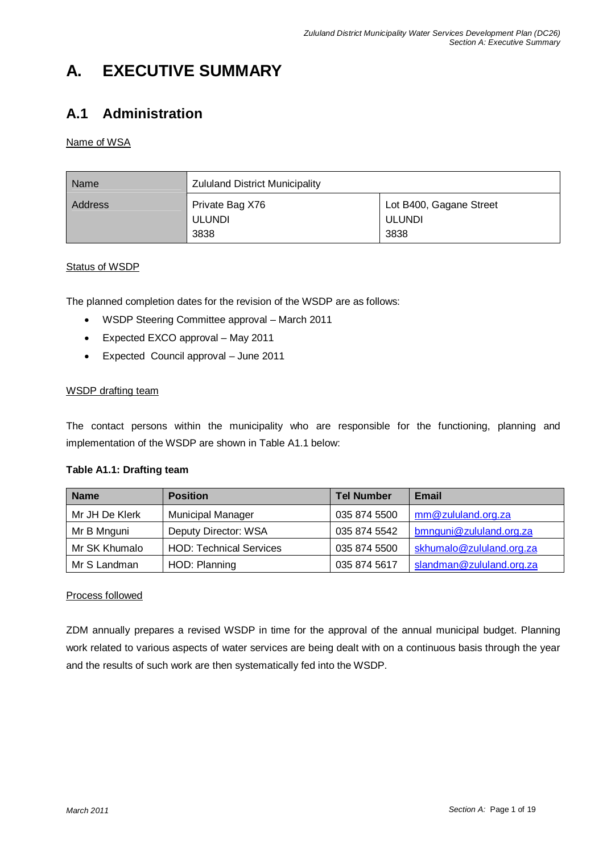# **A. EXECUTIVE SUMMARY**

## **A.1 Administration**

#### Name of WSA

| Name    | <b>Zululand District Municipality</b>    |                                                  |
|---------|------------------------------------------|--------------------------------------------------|
| Address | Private Bag X76<br><b>ULUNDI</b><br>3838 | Lot B400, Gagane Street<br><b>ULUNDI</b><br>3838 |

#### Status of WSDP

The planned completion dates for the revision of the WSDP are as follows:

- WSDP Steering Committee approval March 2011
- Expected EXCO approval May 2011
- Expected Council approval June 2011

#### WSDP drafting team

The contact persons within the municipality who are responsible for the functioning, planning and implementation of the WSDP are shown in Table A1.1 below:

#### **Table A1.1: Drafting team**

| <b>Name</b>    | <b>Position</b>                | <b>Tel Number</b> | <b>Email</b>             |
|----------------|--------------------------------|-------------------|--------------------------|
| Mr JH De Klerk | <b>Municipal Manager</b>       | 035 874 5500      | mm@zululand.org.za       |
| Mr B Mnguni    | Deputy Director: WSA           | 035 874 5542      | bmnguni@zululand.org.za  |
| Mr SK Khumalo  | <b>HOD: Technical Services</b> | 035 874 5500      | skhumalo@zululand.org.za |
| Mr S Landman   | HOD: Planning                  | 035 874 5617      | slandman@zululand.org.za |

#### Process followed

ZDM annually prepares a revised WSDP in time for the approval of the annual municipal budget. Planning work related to various aspects of water services are being dealt with on a continuous basis through the year and the results of such work are then systematically fed into the WSDP.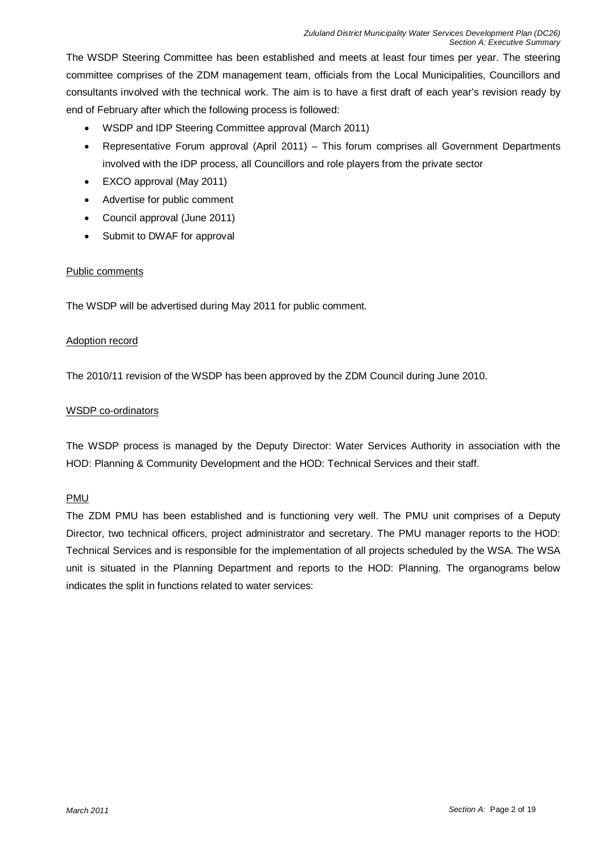The WSDP Steering Committee has been established and meets at least four times per year. The steering committee comprises of the ZDM management team, officials from the Local Municipalities, Councillors and consultants involved with the technical work. The aim is to have a first draft of each year's revision ready by end of February after which the following process is followed:

- WSDP and IDP Steering Committee approval (March 2011)
- Representative Forum approval (April 2011) This forum comprises all Government Departments involved with the IDP process, all Councillors and role players from the private sector
- EXCO approval (May 2011)
- Advertise for public comment
- Council approval (June 2011)
- Submit to DWAF for approval

#### Public comments

The WSDP will be advertised during May 2011 for public comment.

#### Adoption record

The 2010/11 revision of the WSDP has been approved by the ZDM Council during June 2010.

#### WSDP co-ordinators

The WSDP process is managed by the Deputy Director: Water Services Authority in association with the HOD: Planning & Community Development and the HOD: Technical Services and their staff.

#### PMU

The ZDM PMU has been established and is functioning very well. The PMU unit comprises of a Deputy Director, two technical officers, project administrator and secretary. The PMU manager reports to the HOD: Technical Services and is responsible for the implementation of all projects scheduled by the WSA. The WSA unit is situated in the Planning Department and reports to the HOD: Planning. The organograms below indicates the split in functions related to water services: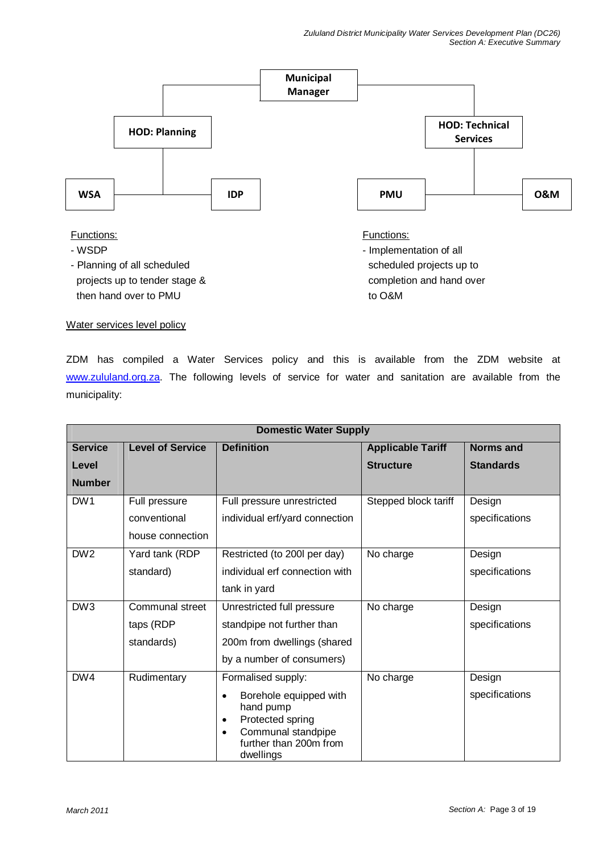

projects up to tender stage & completion and hand over then hand over to PMU to O&M

Water services level policy

ZDM has compiled a Water Services policy and this is available from the ZDM website at www.zululand.org.za. The following levels of service for water and sanitation are available from the municipality:

|                 |                         | <b>Domestic Water Supply</b>               |                          |                  |
|-----------------|-------------------------|--------------------------------------------|--------------------------|------------------|
| <b>Service</b>  | <b>Level of Service</b> | <b>Definition</b>                          | <b>Applicable Tariff</b> | <b>Norms and</b> |
| Level           |                         |                                            | <b>Structure</b>         | <b>Standards</b> |
| <b>Number</b>   |                         |                                            |                          |                  |
| DW1             | Full pressure           | Full pressure unrestricted                 | Stepped block tariff     | Design           |
|                 | conventional            | individual erf/yard connection             |                          | specifications   |
|                 | house connection        |                                            |                          |                  |
| DW <sub>2</sub> | Yard tank (RDP          | Restricted (to 200I per day)               | No charge                | Design           |
|                 | standard)               | individual erf connection with             |                          | specifications   |
|                 |                         | tank in yard                               |                          |                  |
| DW3             | Communal street         | Unrestricted full pressure                 | No charge                | Design           |
|                 | taps (RDP               | standpipe not further than                 |                          | specifications   |
|                 | standards)              | 200m from dwellings (shared                |                          |                  |
|                 |                         | by a number of consumers)                  |                          |                  |
| DW4             | Rudimentary             | Formalised supply:                         | No charge                | Design           |
|                 |                         | Borehole equipped with<br>$\bullet$        |                          | specifications   |
|                 |                         | hand pump<br>Protected spring<br>$\bullet$ |                          |                  |
|                 |                         | Communal standpipe<br>$\bullet$            |                          |                  |
|                 |                         | further than 200m from<br>dwellings        |                          |                  |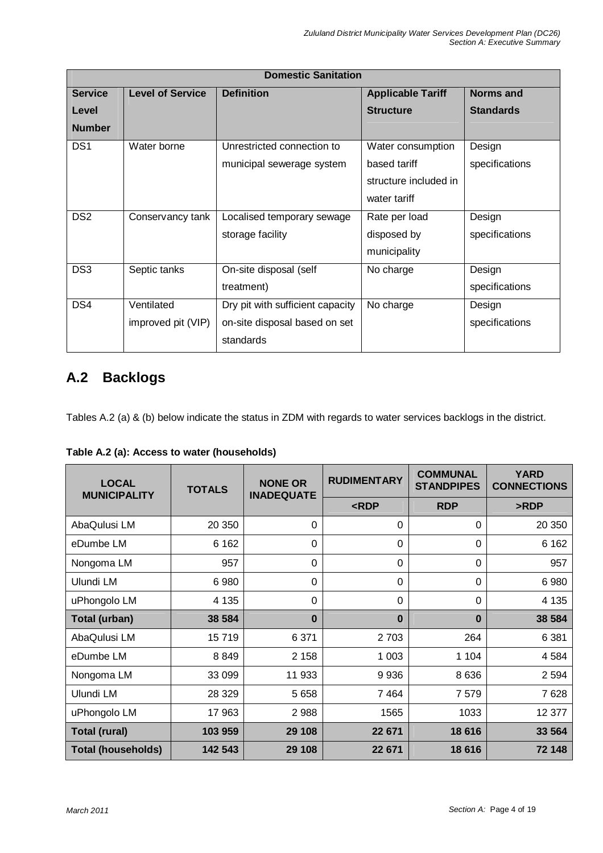|                 |                         | <b>Domestic Sanitation</b>       |                          |                  |
|-----------------|-------------------------|----------------------------------|--------------------------|------------------|
| <b>Service</b>  | <b>Level of Service</b> | <b>Definition</b>                | <b>Applicable Tariff</b> | <b>Norms and</b> |
| Level           |                         |                                  | <b>Structure</b>         | <b>Standards</b> |
| <b>Number</b>   |                         |                                  |                          |                  |
| DS <sub>1</sub> | Water borne             | Unrestricted connection to       | Water consumption        | Design           |
|                 |                         | municipal sewerage system        | based tariff             | specifications   |
|                 |                         |                                  | structure included in    |                  |
|                 |                         |                                  | water tariff             |                  |
| DS <sub>2</sub> | Conservancy tank        | Localised temporary sewage       | Rate per load            | Design           |
|                 |                         | storage facility                 | disposed by              | specifications   |
|                 |                         |                                  | municipality             |                  |
| DS <sub>3</sub> | Septic tanks            | On-site disposal (self           | No charge                | Design           |
|                 |                         | treatment)                       |                          | specifications   |
| DS4             | Ventilated              | Dry pit with sufficient capacity | No charge                | Design           |
|                 | improved pit (VIP)      | on-site disposal based on set    |                          | specifications   |
|                 |                         | standards                        |                          |                  |

## **A.2 Backlogs**

Tables A.2 (a) & (b) below indicate the status in ZDM with regards to water services backlogs in the district.

| <b>LOCAL</b><br><b>MUNICIPALITY</b> | <b>TOTALS</b> | <b>NONE OR</b><br><b>INADEQUATE</b> | <b>RUDIMENTARY</b>                                     | <b>COMMUNAL</b><br><b>STANDPIPES</b> | <b>YARD</b><br><b>CONNECTIONS</b> |
|-------------------------------------|---------------|-------------------------------------|--------------------------------------------------------|--------------------------------------|-----------------------------------|
|                                     |               |                                     | <rdp< th=""><th><b>RDP</b></th><th>&gt;RDP</th></rdp<> | <b>RDP</b>                           | >RDP                              |
| AbaQulusi LM                        | 20 350        | $\Omega$                            | 0                                                      | 0                                    | 20 350                            |
| eDumbe LM                           | 6 1 6 2       | $\mathbf 0$                         | $\Omega$                                               | $\Omega$                             | 6 1 6 2                           |
| Nongoma LM                          | 957           | $\mathbf 0$                         | $\Omega$                                               | 0                                    | 957                               |
| Ulundi LM                           | 6980          | $\mathbf 0$                         | $\Omega$                                               | $\Omega$                             | 6980                              |
| uPhongolo LM                        | 4 1 3 5       | $\Omega$                            | $\Omega$                                               | $\Omega$                             | 4 1 3 5                           |
| Total (urban)                       | 38 584        | $\bf{0}$                            | $\bf{0}$                                               | $\bf{0}$                             | 38 584                            |
| AbaQulusi LM                        | 15719         | 6 3 7 1                             | 2 7 0 3                                                | 264                                  | 6 3 8 1                           |
| eDumbe LM                           | 8849          | 2 1 5 8                             | 1 0 0 3                                                | 1 104                                | 4 5 8 4                           |
| Nongoma LM                          | 33 099        | 11 933                              | 9936                                                   | 8 6 3 6                              | 2 5 9 4                           |
| Ulundi LM                           | 28 3 29       | 5 6 5 8                             | 7464                                                   | 7 5 7 9                              | 7628                              |
| uPhongolo LM                        | 17 963        | 2988                                | 1565                                                   | 1033                                 | 12 377                            |
| <b>Total (rural)</b>                | 103 959       | 29 108                              | 22 671                                                 | 18 616                               | 33 564                            |
| <b>Total (households)</b>           | 142 543       | 29 108                              | 22 671                                                 | 18 616                               | 72 148                            |

|  |  | Table A.2 (a): Access to water (households) |
|--|--|---------------------------------------------|
|  |  |                                             |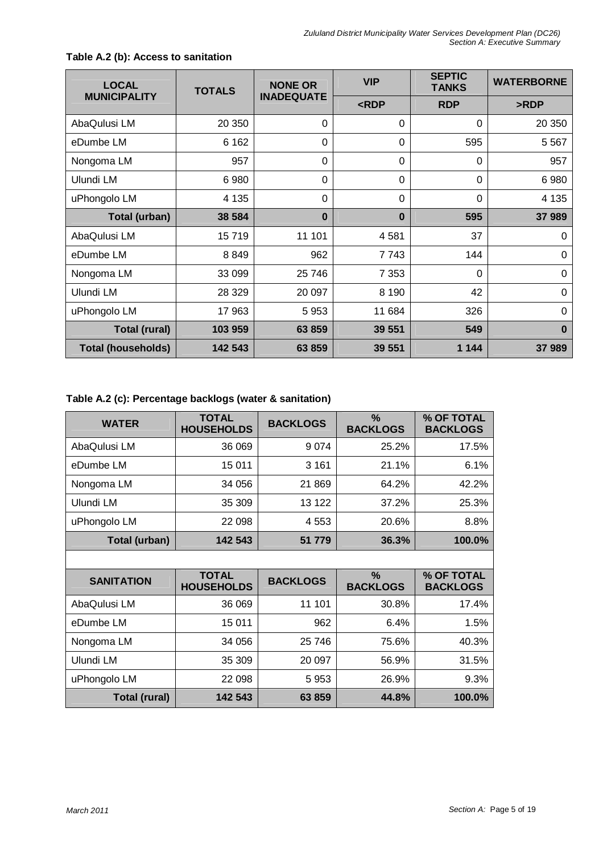| <b>LOCAL</b>              | <b>TOTALS</b> | <b>NONE OR</b>    | <b>VIP</b> | <b>SEPTIC</b><br><b>TANKS</b> | <b>WATERBORNE</b> |
|---------------------------|---------------|-------------------|------------|-------------------------------|-------------------|
| <b>MUNICIPALITY</b>       |               | <b>INADEQUATE</b> | RDP        | <b>RDP</b>                    | >RDP              |
| AbaQulusi LM              | 20 350        | 0                 | 0          | 0                             | 20 350            |
| eDumbe LM                 | 6 1 6 2       | 0                 | 0          | 595                           | 5 5 6 7           |
| Nongoma LM                | 957           | $\mathbf 0$       | 0          | $\overline{0}$                | 957               |
| Ulundi LM                 | 6 9 8 0       | 0                 | $\Omega$   | 0                             | 6980              |
| uPhongolo LM              | 4 1 3 5       | 0                 | 0          | 0                             | 4 1 3 5           |
| Total (urban)             | 38 584        | $\bf{0}$          | $\bf{0}$   | 595                           | 37 989            |
| AbaQulusi LM              | 15719         | 11 101            | 4581       | 37                            | 0                 |
| eDumbe LM                 | 8849          | 962               | 7743       | 144                           | 0                 |
| Nongoma LM                | 33 099        | 25 746            | 7 3 5 3    | $\Omega$                      | 0                 |
| Ulundi LM                 | 28 3 29       | 20 097            | 8 1 9 0    | 42                            | 0                 |
| uPhongolo LM              | 17 963        | 5953              | 11 684     | 326                           | $\overline{0}$    |
| <b>Total (rural)</b>      | 103 959       | 63 859            | 39 551     | 549                           | $\bf{0}$          |
| <b>Total (households)</b> | 142 543       | 63 859            | 39 551     | 1 1 4 4                       | 37989             |

#### **Table A.2 (b): Access to sanitation**

## **Table A.2 (c): Percentage backlogs (water & sanitation)**

| <b>WATER</b>         | <b>TOTAL</b><br><b>HOUSEHOLDS</b> | <b>BACKLOGS</b> | $\%$<br><b>BACKLOGS</b> | % OF TOTAL<br><b>BACKLOGS</b> |
|----------------------|-----------------------------------|-----------------|-------------------------|-------------------------------|
| AbaQulusi LM         | 36 069                            | 9 0 7 4         | 25.2%                   | 17.5%                         |
| eDumbe LM            | 15 011                            | 3 1 6 1         | 21.1%                   | 6.1%                          |
| Nongoma LM           | 34 056                            | 21 869          | 64.2%                   | 42.2%                         |
| Ulundi LM            | 35 309                            | 13 122          | 37.2%                   | 25.3%                         |
| uPhongolo LM         | 22 098                            | 4 5 5 3         | 20.6%                   | 8.8%                          |
| <b>Total (urban)</b> | 142 543                           | 51 779          | 36.3%                   | 100.0%                        |
|                      |                                   |                 |                         |                               |
| <b>SANITATION</b>    | <b>TOTAL</b><br><b>HOUSEHOLDS</b> | <b>BACKLOGS</b> | $\%$<br><b>BACKLOGS</b> | % OF TOTAL<br><b>BACKLOGS</b> |
| AbaQulusi LM         | 36 069                            | 11 101          | 30.8%                   | 17.4%                         |
| eDumbe LM            | 15 011                            | 962             | 6.4%                    | 1.5%                          |
| Nongoma LM           | 34 056                            | 25 746          | 75.6%                   | 40.3%                         |
| Ulundi LM            | 35 309                            | 20 097          | 56.9%                   | 31.5%                         |
| uPhongolo LM         | 22 098                            | 5953            | 26.9%                   | 9.3%                          |
| <b>Total (rural)</b> | 142 543                           | 63 859          | 44.8%                   | 100.0%                        |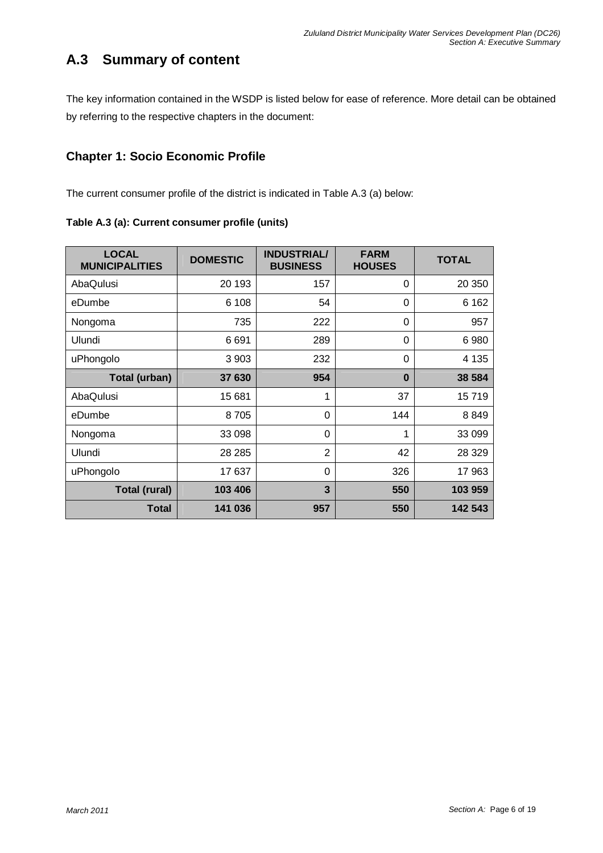## **A.3 Summary of content**

The key information contained in the WSDP is listed below for ease of reference. More detail can be obtained by referring to the respective chapters in the document:

## **Chapter 1: Socio Economic Profile**

The current consumer profile of the district is indicated in Table A.3 (a) below:

| Table A.3 (a): Current consumer profile (units) |  |
|-------------------------------------------------|--|
|-------------------------------------------------|--|

| <b>LOCAL</b><br><b>MUNICIPALITIES</b> | <b>DOMESTIC</b> | <b>INDUSTRIAL/</b><br><b>BUSINESS</b> | <b>FARM</b><br><b>HOUSES</b> | <b>TOTAL</b> |
|---------------------------------------|-----------------|---------------------------------------|------------------------------|--------------|
| AbaQulusi                             | 20 193          | 157                                   | $\Omega$                     | 20 350       |
| eDumbe                                | 6 108           | 54                                    | 0                            | 6 1 6 2      |
| Nongoma                               | 735             | 222                                   | $\Omega$                     | 957          |
| Ulundi                                | 6691            | 289                                   | $\Omega$                     | 6980         |
| uPhongolo                             | 3 9 0 3         | 232                                   | $\Omega$                     | 4 1 3 5      |
| Total (urban)                         | 37 630          | 954                                   | $\bf{0}$                     | 38 584       |
| AbaQulusi                             | 15 681          | 1                                     | 37                           | 15719        |
| eDumbe                                | 8705            | 0                                     | 144                          | 8849         |
| Nongoma                               | 33 098          | $\Omega$                              | 1                            | 33 099       |
| Ulundi                                | 28 2 8 5        | 2                                     | 42                           | 28 3 29      |
| uPhongolo                             | 17637           | $\Omega$                              | 326                          | 17 963       |
| <b>Total (rural)</b>                  | 103 406         | 3                                     | 550                          | 103 959      |
| <b>Total</b>                          | 141 036         | 957                                   | 550                          | 142 543      |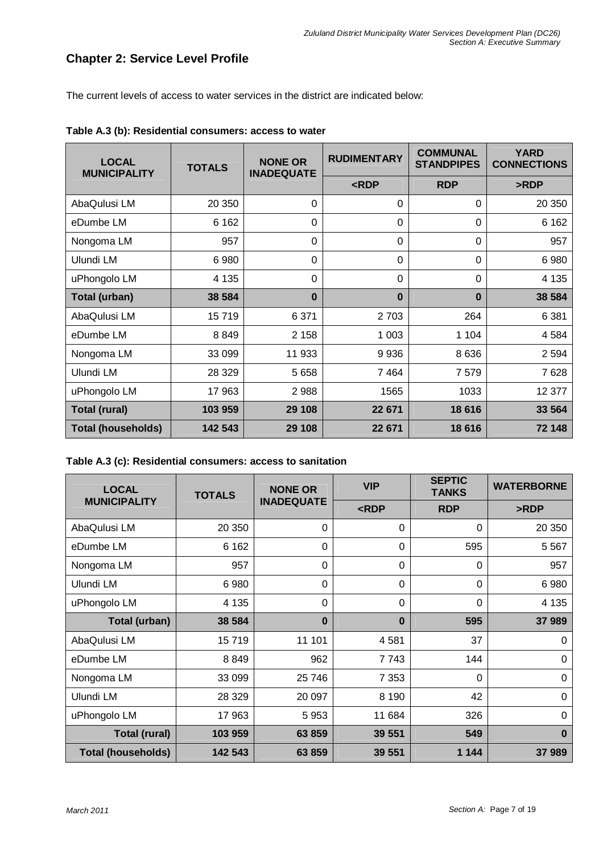## **Chapter 2: Service Level Profile**

The current levels of access to water services in the district are indicated below:

| <b>LOCAL</b><br><b>MUNICIPALITY</b> | <b>TOTALS</b> | <b>NONE OR</b><br><b>INADEQUATE</b> | <b>RUDIMENTARY</b> | <b>COMMUNAL</b><br><b>STANDPIPES</b> | <b>YARD</b><br><b>CONNECTIONS</b> |
|-------------------------------------|---------------|-------------------------------------|--------------------|--------------------------------------|-----------------------------------|
|                                     |               |                                     | RDP                | <b>RDP</b>                           | >RDP                              |
| AbaQulusi LM                        | 20 350        | $\Omega$                            | $\Omega$           | $\Omega$                             | 20 350                            |
| eDumbe LM                           | 6 1 6 2       | 0                                   | 0                  | $\Omega$                             | 6 1 6 2                           |
| Nongoma LM                          | 957           | 0                                   | $\Omega$           | $\Omega$                             | 957                               |
| Ulundi LM                           | 6980          | 0                                   | 0                  | $\Omega$                             | 6980                              |
| uPhongolo LM                        | 4 1 3 5       | $\Omega$                            | $\Omega$           | $\Omega$                             | 4 1 3 5                           |
| Total (urban)                       | 38 584        | $\bf{0}$                            | $\bf{0}$           | $\bf{0}$                             | 38 584                            |
| AbaQulusi LM                        | 15719         | 6 3 7 1                             | 2 7 0 3            | 264                                  | 6 3 8 1                           |
| eDumbe LM                           | 8849          | 2 1 5 8                             | 1 0 0 3            | 1 1 0 4                              | 4 5 8 4                           |
| Nongoma LM                          | 33 099        | 11 933                              | 9936               | 8 6 3 6                              | 2 5 9 4                           |
| Ulundi LM                           | 28 3 29       | 5 6 5 8                             | 7464               | 7579                                 | 7628                              |
| uPhongolo LM                        | 17 963        | 2988                                | 1565               | 1033                                 | 12 377                            |
| <b>Total (rural)</b>                | 103 959       | 29 108                              | 22 671             | 18 616                               | 33 564                            |
| <b>Total (households)</b>           | 142 543       | 29 108                              | 22 671             | 18 616                               | 72 148                            |

**Table A.3 (b): Residential consumers: access to water** 

| Table A.3 (c): Residential consumers: access to sanitation |
|------------------------------------------------------------|
|------------------------------------------------------------|

| <b>LOCAL</b>              | <b>TOTALS</b> | <b>NONE OR</b>    | <b>VIP</b> | <b>SEPTIC</b><br><b>TANKS</b> | <b>WATERBORNE</b> |  |
|---------------------------|---------------|-------------------|------------|-------------------------------|-------------------|--|
| <b>MUNICIPALITY</b>       |               | <b>INADEQUATE</b> | RDP        | <b>RDP</b>                    | >RDP              |  |
| AbaQulusi LM              | 20 350        | 0                 | $\Omega$   | 0                             | 20 350            |  |
| eDumbe LM                 | 6 1 6 2       | 0                 | $\Omega$   | 595                           | 5 5 6 7           |  |
| Nongoma LM                | 957           | 0                 | $\Omega$   | $\Omega$                      | 957               |  |
| Ulundi LM                 | 6 9 8 0       | 0                 | $\Omega$   | $\Omega$                      | 6980              |  |
| uPhongolo LM              | 4 1 3 5       | 0                 | $\Omega$   | $\Omega$                      | 4 1 3 5           |  |
| Total (urban)             | 38 584        | $\bf{0}$          | $\bf{0}$   | 595                           | 37 989            |  |
| AbaQulusi LM              | 15719         | 11 101            | 4581       | 37                            | 0                 |  |
| eDumbe LM                 | 8849          | 962               | 7 743      | 144                           | 0                 |  |
| Nongoma LM                | 33 099        | 25 746            | 7 3 5 3    | $\Omega$                      | $\Omega$          |  |
| Ulundi LM                 | 28 3 29       | 20 097            | 8 1 9 0    | 42                            | $\Omega$          |  |
| uPhongolo LM              | 17 963        | 5953              | 11 684     | 326                           | $\Omega$          |  |
| <b>Total (rural)</b>      | 103 959       | 63 859            | 39 551     | 549                           | $\bf{0}$          |  |
| <b>Total (households)</b> | 142 543       | 63 859            | 39 551     | 1 1 4 4                       | 37 989            |  |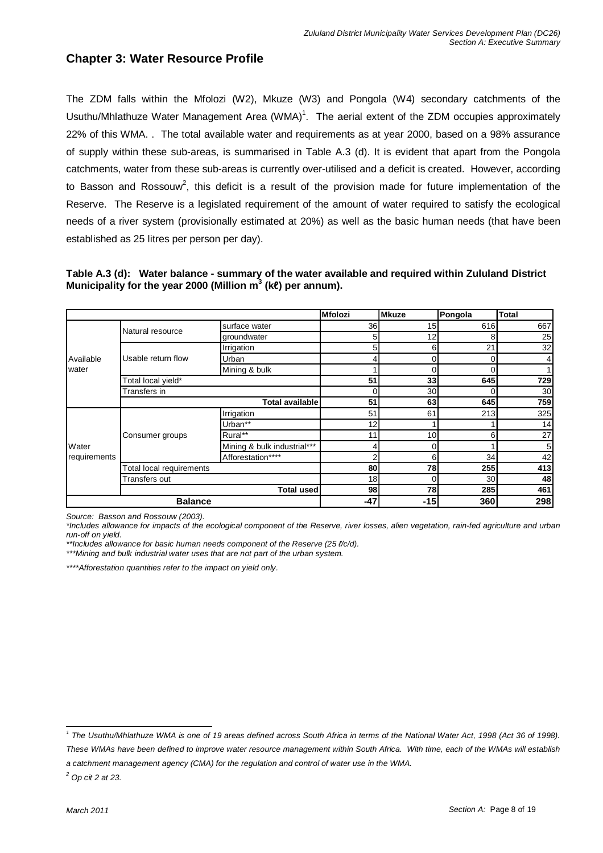## **Chapter 3: Water Resource Profile**

The ZDM falls within the Mfolozi (W2), Mkuze (W3) and Pongola (W4) secondary catchments of the Usuthu/Mhlathuze Water Management Area (WMA)<sup>1</sup>. The aerial extent of the ZDM occupies approximately 22% of this WMA. . The total available water and requirements as at year 2000, based on a 98% assurance of supply within these sub-areas, is summarised in Table A.3 (d). It is evident that apart from the Pongola catchments, water from these sub-areas is currently over-utilised and a deficit is created. However, according to Basson and Rossouw<sup>2</sup>, this deficit is a result of the provision made for future implementation of the Reserve. The Reserve is a legislated requirement of the amount of water required to satisfy the ecological needs of a river system (provisionally estimated at 20%) as well as the basic human needs (that have been established as 25 litres per person per day).

#### **Table A.3 (d): Water balance - summary of the water available and required within Zululand District Municipality for the year 2000 (Million m<sup>3</sup> (k**ℓ**) per annum).**

|              |                          |                             | <b>Mfolozi</b> | <b>Mkuze</b> | Pongola     | <b>Total</b>   |
|--------------|--------------------------|-----------------------------|----------------|--------------|-------------|----------------|
|              | Natural resource         | surface water               | 36             | 15           | 616         | 667            |
|              |                          | groundwater                 | 5              | 12           | 8           | 25             |
|              |                          | Irrigation                  |                | 6            | 21          | 32             |
| Available    | Usable return flow       | Urban                       |                | 0            |             | 4              |
| water        |                          | Mining & bulk               |                | 0            |             |                |
|              | Total local yield*       |                             | 51             | 33           | 645         | 729            |
|              | Transfers in             |                             |                | 30           |             | 30             |
|              |                          | <b>Total available</b>      | 51             | 63           | 645         | 759            |
|              |                          | Irrigation                  | 51             | 61           | 213         | 325            |
|              |                          | Urban**                     | 12             |              |             | 14             |
|              | Consumer groups          | Rural**                     | 11             | 10           | 61          | 27             |
| Water        |                          | Mining & bulk industrial*** |                | 0            |             | 5 <sub>l</sub> |
| requirements |                          | Afforestation****           |                | 6            | 34          | 42             |
|              | Total local requirements |                             | 80             | 78           | 255         | 413            |
|              | Transfers out            |                             | 18             | 0            | 30          | 48             |
|              |                          | <b>Total used</b>           | 98             | 78           | <b>2851</b> | 461            |
|              | <b>Balance</b>           |                             | -47            | $-15$        | 360         | 298            |

Source: Basson and Rossouw (2003).

\*Includes allowance for impacts of the ecological component of the Reserve, river losses, alien vegetation, rain-fed agriculture and urban run-off on yield.

\*\*Includes allowance for basic human needs component of the Reserve (25  $\ell$ /c/d). \*\*\*Mining and bulk industrial water uses that are not part of the urban system.

\*\*\*\*Afforestation quantities refer to the impact on yield only.

a catchment management agency (CMA) for the regulation and control of water use in the WMA.

 $^2$  Op cit 2 at 23.

l <sup>1</sup> The Usuthu/Mhlathuze WMA is one of 19 areas defined across South Africa in terms of the National Water Act, 1998 (Act 36 of 1998). These WMAs have been defined to improve water resource management within South Africa. With time, each of the WMAs will establish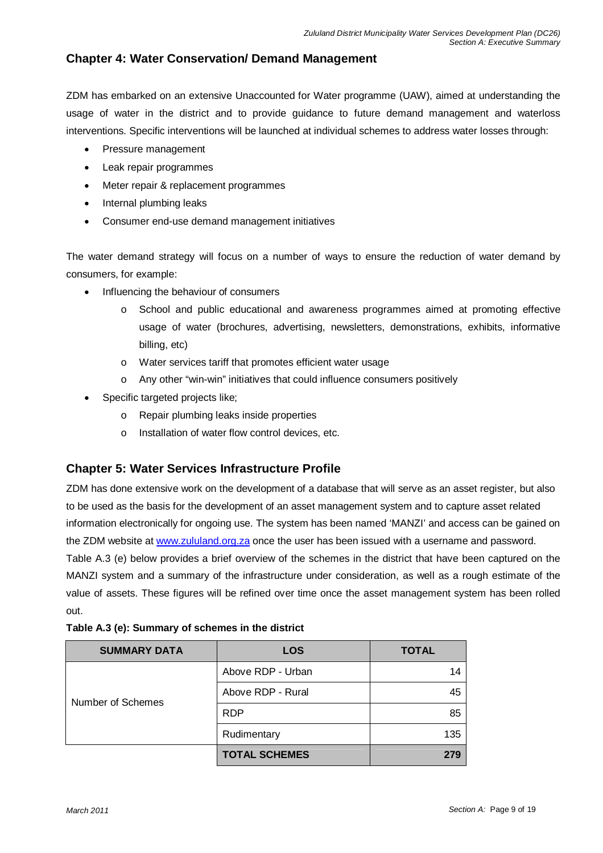## **Chapter 4: Water Conservation/ Demand Management**

ZDM has embarked on an extensive Unaccounted for Water programme (UAW), aimed at understanding the usage of water in the district and to provide guidance to future demand management and waterloss interventions. Specific interventions will be launched at individual schemes to address water losses through:

- Pressure management
- Leak repair programmes
- Meter repair & replacement programmes
- Internal plumbing leaks
- Consumer end-use demand management initiatives

The water demand strategy will focus on a number of ways to ensure the reduction of water demand by consumers, for example:

- Influencing the behaviour of consumers
	- o School and public educational and awareness programmes aimed at promoting effective usage of water (brochures, advertising, newsletters, demonstrations, exhibits, informative billing, etc)
	- o Water services tariff that promotes efficient water usage
	- o Any other "win-win" initiatives that could influence consumers positively
- Specific targeted projects like;
	- o Repair plumbing leaks inside properties
	- o Installation of water flow control devices, etc.

## **Chapter 5: Water Services Infrastructure Profile**

ZDM has done extensive work on the development of a database that will serve as an asset register, but also to be used as the basis for the development of an asset management system and to capture asset related information electronically for ongoing use. The system has been named 'MANZI' and access can be gained on the ZDM website at www.zululand.org.za once the user has been issued with a username and password.

Table A.3 (e) below provides a brief overview of the schemes in the district that have been captured on the MANZI system and a summary of the infrastructure under consideration, as well as a rough estimate of the value of assets. These figures will be refined over time once the asset management system has been rolled out.

| <b>SUMMARY DATA</b> | LOS                  | <b>TOTAL</b> |
|---------------------|----------------------|--------------|
|                     | Above RDP - Urban    | 14           |
| Number of Schemes   | Above RDP - Rural    | 45           |
|                     | <b>RDP</b>           | 85           |
|                     | Rudimentary          | 135          |
|                     | <b>TOTAL SCHEMES</b> | 279          |

|  |  |  |  | Table A.3 (e): Summary of schemes in the district |  |  |  |
|--|--|--|--|---------------------------------------------------|--|--|--|
|--|--|--|--|---------------------------------------------------|--|--|--|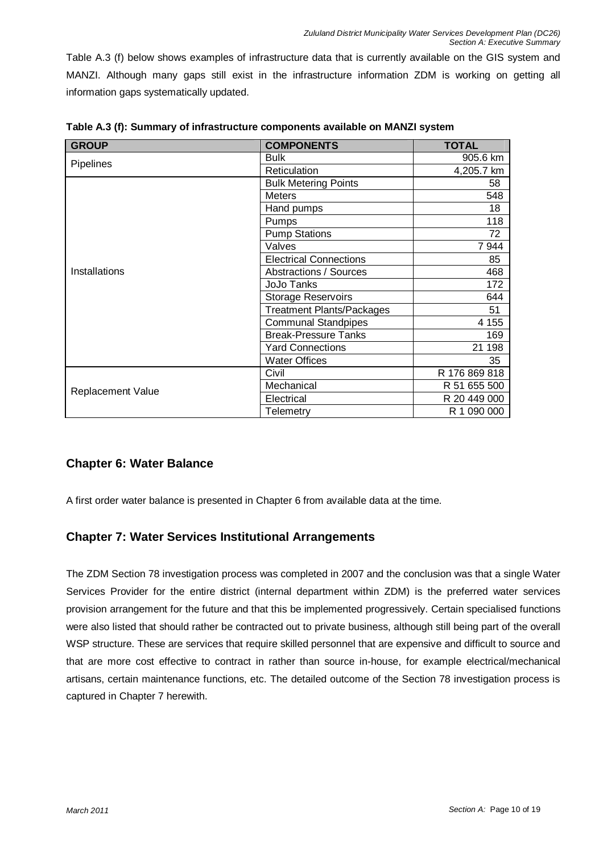Table A.3 (f) below shows examples of infrastructure data that is currently available on the GIS system and MANZI. Although many gaps still exist in the infrastructure information ZDM is working on getting all information gaps systematically updated.

| <b>GROUP</b>             | <b>COMPONENTS</b>                | <b>TOTAL</b>  |
|--------------------------|----------------------------------|---------------|
|                          | <b>Bulk</b>                      | 905.6 km      |
| <b>Pipelines</b>         | Reticulation                     | 4,205.7 km    |
|                          | <b>Bulk Metering Points</b>      | 58            |
|                          | <b>Meters</b>                    | 548           |
|                          | Hand pumps                       | 18            |
|                          | Pumps                            | 118           |
|                          | <b>Pump Stations</b>             | 72            |
|                          | Valves                           | 7944          |
|                          | <b>Electrical Connections</b>    | 85            |
| Installations            | Abstractions / Sources           | 468           |
|                          | <b>JoJo Tanks</b>                | 172           |
|                          | Storage Reservoirs               | 644           |
|                          | <b>Treatment Plants/Packages</b> | 51            |
|                          | <b>Communal Standpipes</b>       | 4 1 5 5       |
|                          | <b>Break-Pressure Tanks</b>      | 169           |
|                          | <b>Yard Connections</b>          | 21 198        |
|                          | <b>Water Offices</b>             | 35            |
|                          | Civil                            | R 176 869 818 |
| <b>Replacement Value</b> | Mechanical                       | R 51 655 500  |
|                          | Electrical                       | R 20 449 000  |
|                          | Telemetry                        | R 1 090 000   |

**Table A.3 (f): Summary of infrastructure components available on MANZI system** 

## **Chapter 6: Water Balance**

A first order water balance is presented in Chapter 6 from available data at the time.

## **Chapter 7: Water Services Institutional Arrangements**

The ZDM Section 78 investigation process was completed in 2007 and the conclusion was that a single Water Services Provider for the entire district (internal department within ZDM) is the preferred water services provision arrangement for the future and that this be implemented progressively. Certain specialised functions were also listed that should rather be contracted out to private business, although still being part of the overall WSP structure. These are services that require skilled personnel that are expensive and difficult to source and that are more cost effective to contract in rather than source in-house, for example electrical/mechanical artisans, certain maintenance functions, etc. The detailed outcome of the Section 78 investigation process is captured in Chapter 7 herewith.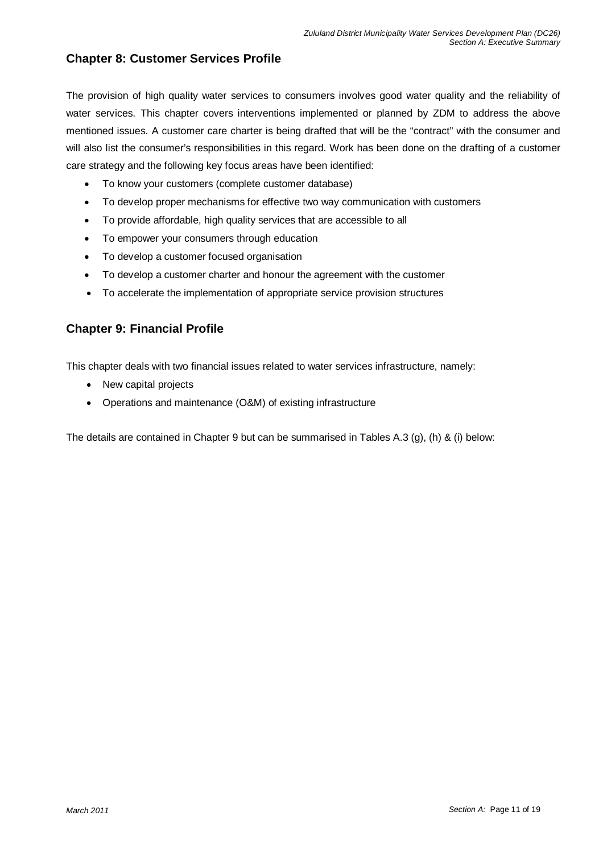## **Chapter 8: Customer Services Profile**

The provision of high quality water services to consumers involves good water quality and the reliability of water services. This chapter covers interventions implemented or planned by ZDM to address the above mentioned issues. A customer care charter is being drafted that will be the "contract" with the consumer and will also list the consumer's responsibilities in this regard. Work has been done on the drafting of a customer care strategy and the following key focus areas have been identified:

- To know your customers (complete customer database)
- To develop proper mechanisms for effective two way communication with customers
- To provide affordable, high quality services that are accessible to all
- To empower your consumers through education
- To develop a customer focused organisation
- To develop a customer charter and honour the agreement with the customer
- To accelerate the implementation of appropriate service provision structures

## **Chapter 9: Financial Profile**

This chapter deals with two financial issues related to water services infrastructure, namely:

- New capital projects
- Operations and maintenance (O&M) of existing infrastructure

The details are contained in Chapter 9 but can be summarised in Tables A.3 (g), (h) & (i) below: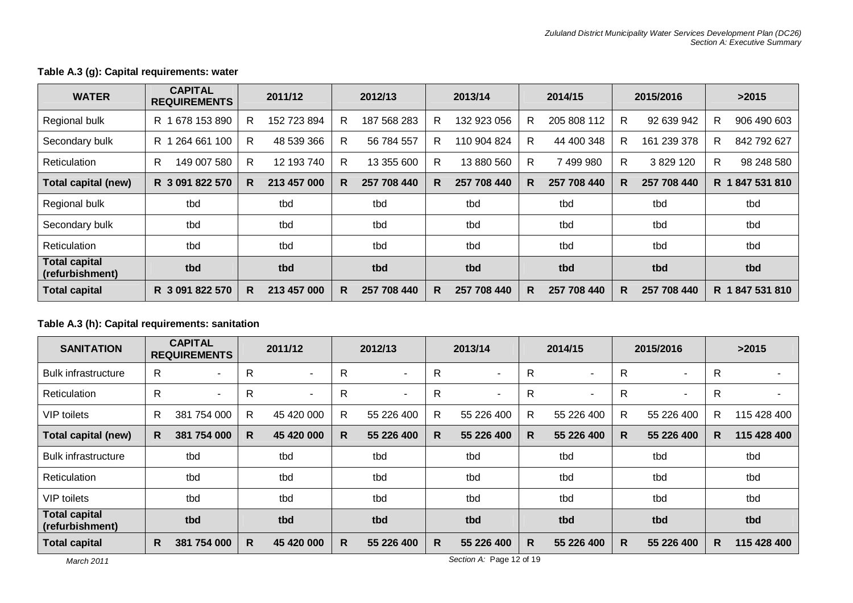#### **Table A.3 (g): Capital requirements: water**

| <b>WATER</b>                            | <b>CAPITAL</b><br><b>REQUIREMENTS</b> | 2011/12           | 2012/13           | 2013/14           | 2014/15          | 2015/2016        | >2015              |
|-----------------------------------------|---------------------------------------|-------------------|-------------------|-------------------|------------------|------------------|--------------------|
| Regional bulk                           | 678 153 890<br>R 1                    | 152 723 894<br>R  | 187 568 283<br>R. | 132 923 056<br>R  | R<br>205 808 112 | R<br>92 639 942  | 906 490 603<br>R.  |
| Secondary bulk                          | 264 661 100<br>R 1                    | R<br>48 539 366   | R.<br>56 784 557  | 110 904 824<br>R  | R<br>44 400 348  | R<br>161 239 378 | 842 792 627<br>R.  |
| <b>Reticulation</b>                     | 149 007 580<br>R.                     | 12 193 740<br>R   | 13 355 600<br>R.  | R<br>13 880 560   | 7 499 980<br>R   | R<br>3 829 120   | 98 248 580<br>R.   |
| Total capital (new)                     | R 3 091 822 570                       | 213 457 000<br>R. | 257 708 440<br>R. | 257 708 440<br>R. | R<br>257 708 440 | 257 708 440<br>R | 847 531 810<br>R 1 |
| Regional bulk                           | tbd                                   | tbd               | tbd               | tbd               | tbd              | tbd              | tbd                |
| Secondary bulk                          | tbd                                   | tbd               | tbd               | tbd               | tbd              | tbd              | tbd                |
| <b>Reticulation</b>                     | tbd                                   | tbd               | tbd               | tbd               | tbd              | tbd              | tbd                |
| <b>Total capital</b><br>(refurbishment) | tbd                                   | tbd               | tbd               | tbd               | tbd              | tbd              | tbd                |
| <b>Total capital</b>                    | R 3 091 822 570                       | 213 457 000<br>R. | 257 708 440<br>R. | 257 708 440<br>R. | 257 708 440<br>R | R<br>257 708 440 | R 1847 531 810     |

#### **Table A.3 (h): Capital requirements: sanitation**

| <b>SANITATION</b>                       |              | <b>CAPITAL</b><br><b>REQUIREMENTS</b> |    | 2011/12                  |    | 2012/13    |    | 2013/14               |   | 2014/15                  |              | 2015/2016                |    | >2015       |  |
|-----------------------------------------|--------------|---------------------------------------|----|--------------------------|----|------------|----|-----------------------|---|--------------------------|--------------|--------------------------|----|-------------|--|
| <b>Bulk infrastructure</b>              | R            | $\overline{\phantom{0}}$              | R  | $\overline{\phantom{0}}$ | R  | ٠          | R  | $\tilde{\phantom{a}}$ | R | $\overline{\phantom{a}}$ | R            |                          | R  |             |  |
| Reticulation                            | $\mathsf{R}$ | ۰                                     | R  | $\overline{\phantom{0}}$ | R  | ٠          | R  | $\tilde{\phantom{a}}$ | R | ٠                        | R            | $\overline{\phantom{a}}$ | R  |             |  |
| <b>VIP</b> toilets                      | R            | 381 754 000                           | R  | 45 420 000               | R  | 55 226 400 | R  | 55 226 400            | R | 55 226 400               | $\mathsf{R}$ | 55 226 400               | R  | 115 428 400 |  |
| <b>Total capital (new)</b>              | R.           | 754 000<br>381                        | R. | 45 420 000               | R. | 55 226 400 | R. | 55 226 400            | R | 55 226 400               | R            | 55 226 400               | R. | 115 428 400 |  |
| <b>Bulk infrastructure</b>              |              | tbd                                   |    | tbd                      |    | tbd        |    | tbd                   |   | tbd                      |              | tbd                      |    | tbd         |  |
| Reticulation                            |              | tbd                                   |    | tbd                      |    | tbd        |    | tbd                   |   | tbd                      |              | tbd                      |    | tbd         |  |
| VIP toilets                             |              | tbd                                   |    | tbd                      |    | tbd        |    | tbd                   |   | tbd                      |              | tbd                      |    | tbd         |  |
| <b>Total capital</b><br>(refurbishment) |              | tbd                                   |    | tbd                      |    | tbd        |    | tbd                   |   | tbd                      |              | tbd                      |    | tbd         |  |
| <b>Total capital</b>                    | R.           | 381 754 000                           | R. | 45 420 000               | R. | 55 226 400 | R. | 55 226 400            | R | 55 226 400               | R            | 55 226 400               | R. | 115 428 400 |  |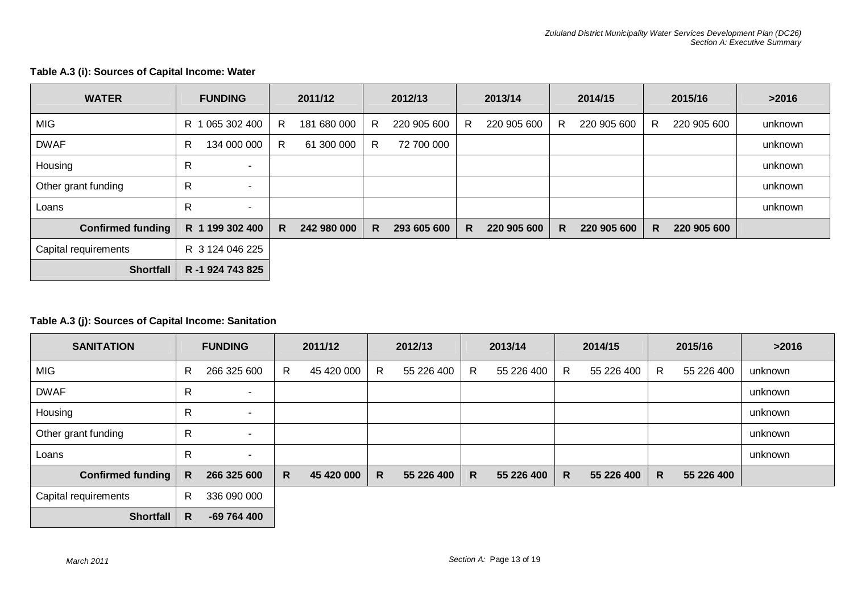| <b>WATER</b>             | <b>FUNDING</b>                | 2011/12          | 2012/13           | 2013/14           | 2014/15           | 2015/16          | >2016   |
|--------------------------|-------------------------------|------------------|-------------------|-------------------|-------------------|------------------|---------|
| <b>MIG</b>               | 065 302 400<br>R 1            | 181 680 000<br>R | 220 905 600<br>R. | 220 905 600<br>R. | 220 905 600<br>R. | 220 905 600<br>R | unknown |
| <b>DWAF</b>              | 134 000 000<br>R.             | R<br>61 300 000  | R<br>72 700 000   |                   |                   |                  | unknown |
| Housing                  | R<br>$\sim$                   |                  |                   |                   |                   |                  | unknown |
| Other grant funding      | R<br>$\overline{\phantom{a}}$ |                  |                   |                   |                   |                  | unknown |
| Loans                    | R<br>$\overline{\phantom{a}}$ |                  |                   |                   |                   |                  | unknown |
| <b>Confirmed funding</b> | R 1 199 302 400               | 242 980 000<br>R | 293 605 600<br>R. | 220 905 600<br>R. | 220 905 600<br>R. | R<br>220 905 600 |         |
| Capital requirements     | R 3 124 046 225               |                  |                   |                   |                   |                  |         |
| <b>Shortfall</b>         | R -1 924 743 825              |                  |                   |                   |                   |                  |         |

#### **Table A.3 (i): Sources of Capital Income: Water**

#### **Table A.3 (j): Sources of Capital Income: Sanitation**

| <b>SANITATION</b>    |    | <b>FUNDING</b>           |    | 2011/12    |   | 2012/13    |   | 2013/14    |    | 2014/15    |   | 2015/16    | >2016   |
|----------------------|----|--------------------------|----|------------|---|------------|---|------------|----|------------|---|------------|---------|
| <b>MIG</b>           | R  | 266 325 600              | R. | 45 420 000 | R | 55 226 400 | R | 55 226 400 | R. | 55 226 400 | R | 55 226 400 | unknown |
| <b>DWAF</b>          | R  | $\overline{\phantom{a}}$ |    |            |   |            |   |            |    |            |   |            | unknown |
| Housing              | R  | $\sim$                   |    |            |   |            |   |            |    |            |   |            | unknown |
| Other grant funding  | R  | $\sim$                   |    |            |   |            |   |            |    |            |   |            | unknown |
| Loans                | R  | $\sim$                   |    |            |   |            |   |            |    |            |   |            | unknown |
| Confirmed funding    | R. | 266 325 600              | R. | 45 420 000 | R | 55 226 400 | R | 55 226 400 | R. | 55 226 400 | R | 55 226 400 |         |
| Capital requirements | R  | 336 090 000              |    |            |   |            |   |            |    |            |   |            |         |
| Shortfall            | R  | -69 764 400              |    |            |   |            |   |            |    |            |   |            |         |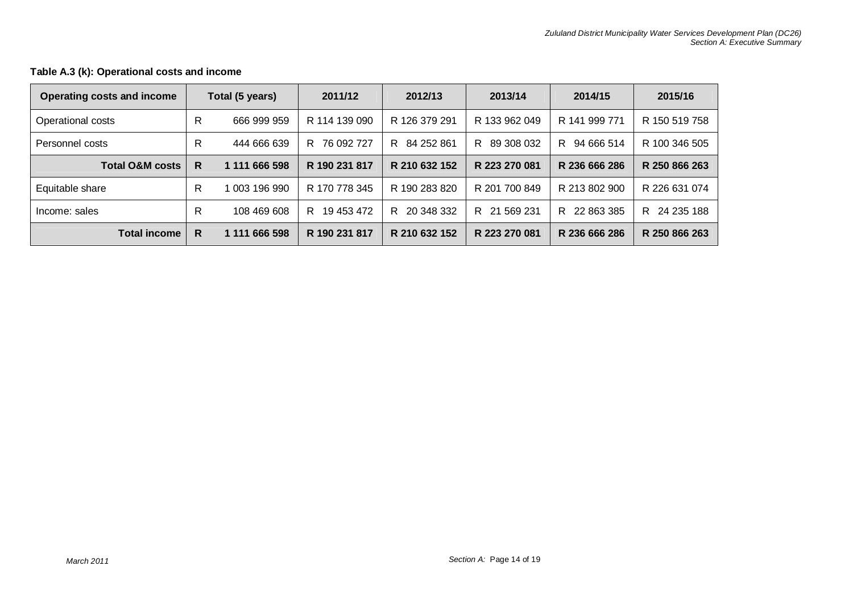| <b>Operating costs and income</b> |   | Total (5 years) | 2011/12          | 2012/13       | 2013/14         | 2014/15          | 2015/16          |
|-----------------------------------|---|-----------------|------------------|---------------|-----------------|------------------|------------------|
| Operational costs                 | R | 666 999 959     | R 114 139 090    | R 126 379 291 | R 133 962 049   | R 141 999 771    | R 150 519 758    |
| Personnel costs                   | R | 444 666 639     | 76 092 727<br>R  | R 84 252 861  | 89 308 032<br>R | 94 666 514<br>R. | R 100 346 505    |
| <b>Total O&amp;M costs</b>        | R | 1 111 666 598   | R 190 231 817    | R 210 632 152 | R 223 270 081   | R 236 666 286    | R 250 866 263    |
| Equitable share                   | R | 003 196 990     | R 170 778 345    | R 190 283 820 | R 201 700 849   | R 213 802 900    | R 226 631 074    |
| Income: sales                     | R | 108 469 608     | 19 453 472<br>R. | R 20 348 332  | R 21 569 231    | 22 863 385<br>R. | 24 235 188<br>R. |
| <b>Total income</b>               | R | 1 111 666 598   | R 190 231 817    | R 210 632 152 | R 223 270 081   | R 236 666 286    | R 250 866 263    |

#### **Table A.3 (k): Operational costs and income**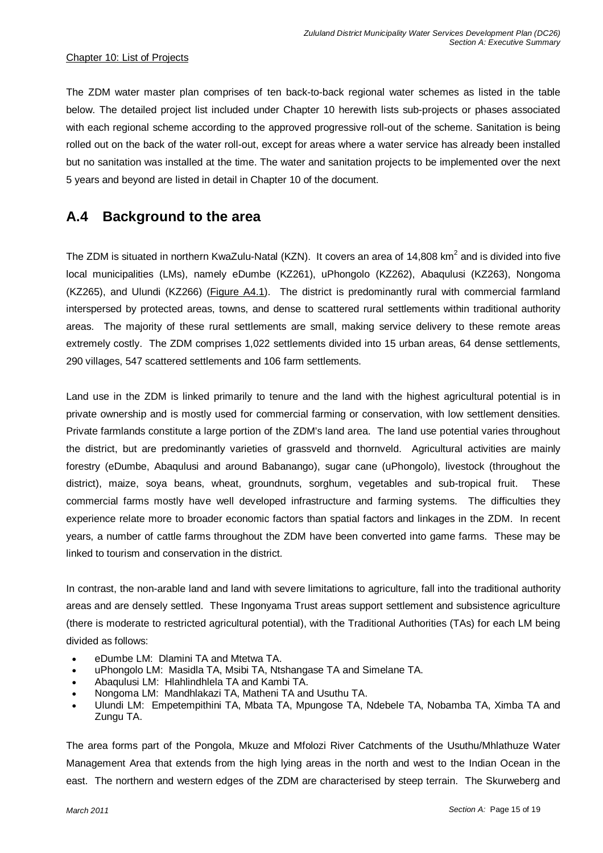#### Chapter 10: List of Projects

The ZDM water master plan comprises of ten back-to-back regional water schemes as listed in the table below. The detailed project list included under Chapter 10 herewith lists sub-projects or phases associated with each regional scheme according to the approved progressive roll-out of the scheme. Sanitation is being rolled out on the back of the water roll-out, except for areas where a water service has already been installed but no sanitation was installed at the time. The water and sanitation projects to be implemented over the next 5 years and beyond are listed in detail in Chapter 10 of the document.

## **A.4 Background to the area**

The ZDM is situated in northern KwaZulu-Natal (KZN). It covers an area of 14,808 km<sup>2</sup> and is divided into five local municipalities (LMs), namely eDumbe (KZ261), uPhongolo (KZ262), Abaqulusi (KZ263), Nongoma (KZ265), and Ulundi (KZ266) (Figure A4.1). The district is predominantly rural with commercial farmland interspersed by protected areas, towns, and dense to scattered rural settlements within traditional authority areas. The majority of these rural settlements are small, making service delivery to these remote areas extremely costly. The ZDM comprises 1,022 settlements divided into 15 urban areas, 64 dense settlements, 290 villages, 547 scattered settlements and 106 farm settlements.

Land use in the ZDM is linked primarily to tenure and the land with the highest agricultural potential is in private ownership and is mostly used for commercial farming or conservation, with low settlement densities. Private farmlands constitute a large portion of the ZDM's land area. The land use potential varies throughout the district, but are predominantly varieties of grassveld and thornveld. Agricultural activities are mainly forestry (eDumbe, Abaqulusi and around Babanango), sugar cane (uPhongolo), livestock (throughout the district), maize, soya beans, wheat, groundnuts, sorghum, vegetables and sub-tropical fruit. These commercial farms mostly have well developed infrastructure and farming systems. The difficulties they experience relate more to broader economic factors than spatial factors and linkages in the ZDM. In recent years, a number of cattle farms throughout the ZDM have been converted into game farms. These may be linked to tourism and conservation in the district.

In contrast, the non-arable land and land with severe limitations to agriculture, fall into the traditional authority areas and are densely settled. These Ingonyama Trust areas support settlement and subsistence agriculture (there is moderate to restricted agricultural potential), with the Traditional Authorities (TAs) for each LM being divided as follows:

- eDumbe LM: Dlamini TA and Mtetwa TA.
- uPhongolo LM: Masidla TA, Msibi TA, Ntshangase TA and Simelane TA.
- Abaqulusi LM: Hlahlindhlela TA and Kambi TA.
- Nongoma LM: Mandhlakazi TA, Matheni TA and Usuthu TA.
- Ulundi LM: Empetempithini TA, Mbata TA, Mpungose TA, Ndebele TA, Nobamba TA, Ximba TA and Zungu TA.

The area forms part of the Pongola, Mkuze and Mfolozi River Catchments of the Usuthu/Mhlathuze Water Management Area that extends from the high lying areas in the north and west to the Indian Ocean in the east. The northern and western edges of the ZDM are characterised by steep terrain. The Skurweberg and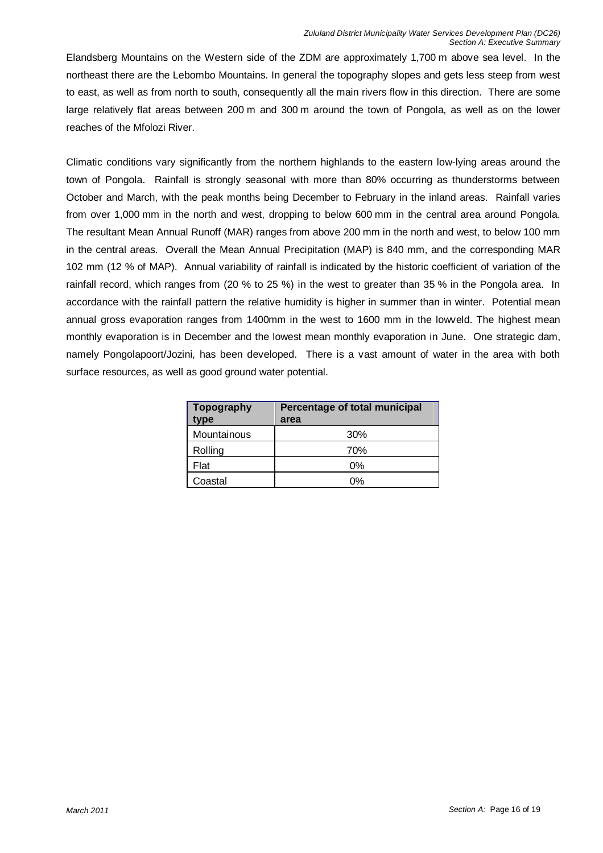Elandsberg Mountains on the Western side of the ZDM are approximately 1,700 m above sea level. In the northeast there are the Lebombo Mountains. In general the topography slopes and gets less steep from west to east, as well as from north to south, consequently all the main rivers flow in this direction. There are some large relatively flat areas between 200 m and 300 m around the town of Pongola, as well as on the lower reaches of the Mfolozi River.

Climatic conditions vary significantly from the northern highlands to the eastern low-lying areas around the town of Pongola. Rainfall is strongly seasonal with more than 80% occurring as thunderstorms between October and March, with the peak months being December to February in the inland areas. Rainfall varies from over 1,000 mm in the north and west, dropping to below 600 mm in the central area around Pongola. The resultant Mean Annual Runoff (MAR) ranges from above 200 mm in the north and west, to below 100 mm in the central areas. Overall the Mean Annual Precipitation (MAP) is 840 mm, and the corresponding MAR 102 mm (12 % of MAP). Annual variability of rainfall is indicated by the historic coefficient of variation of the rainfall record, which ranges from (20 % to 25 %) in the west to greater than 35 % in the Pongola area. In accordance with the rainfall pattern the relative humidity is higher in summer than in winter. Potential mean annual gross evaporation ranges from 1400mm in the west to 1600 mm in the lowveld. The highest mean monthly evaporation is in December and the lowest mean monthly evaporation in June. One strategic dam, namely Pongolapoort/Jozini, has been developed. There is a vast amount of water in the area with both surface resources, as well as good ground water potential.

| Topography<br>type | Percentage of total municipal<br>area |  |  |  |  |  |
|--------------------|---------------------------------------|--|--|--|--|--|
| Mountainous        | 30%                                   |  |  |  |  |  |
| Rolling            | 70%                                   |  |  |  |  |  |
| Flat               | 0%                                    |  |  |  |  |  |
| Coastal            | 0%                                    |  |  |  |  |  |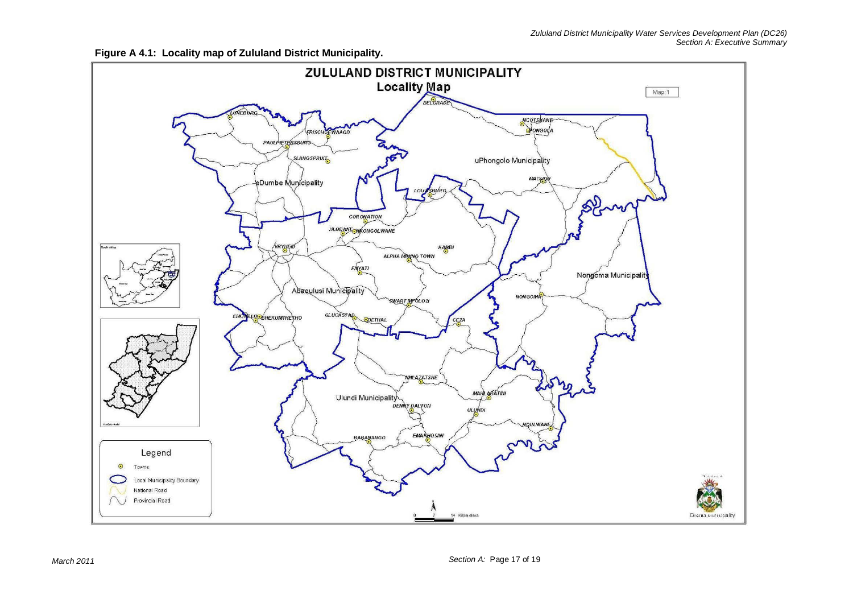

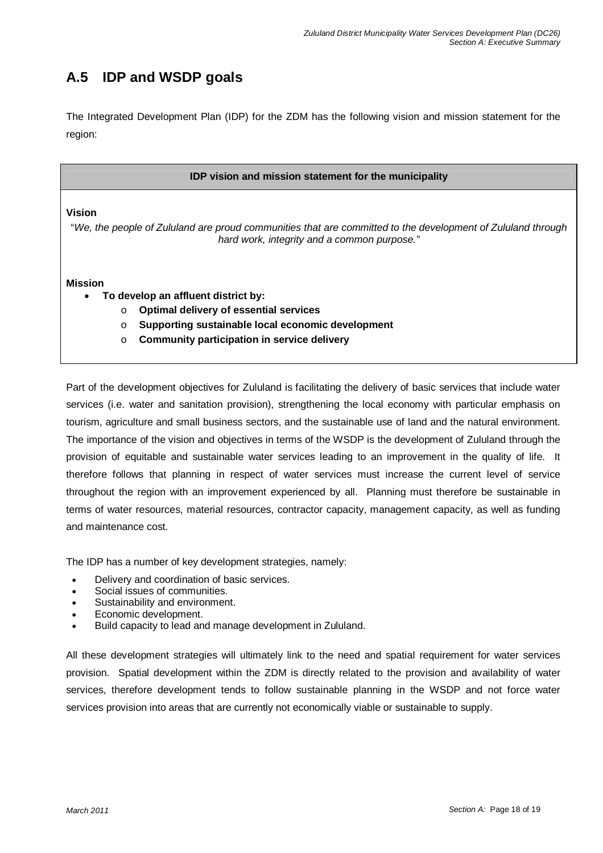## **A.5 IDP and WSDP goals**

The Integrated Development Plan (IDP) for the ZDM has the following vision and mission statement for the region:

|         | IDP vision and mission statement for the municipality                                                                                                      |
|---------|------------------------------------------------------------------------------------------------------------------------------------------------------------|
| Vision  |                                                                                                                                                            |
|         | "We, the people of Zululand are proud communities that are committed to the development of Zululand through<br>hard work, integrity and a common purpose." |
|         |                                                                                                                                                            |
| Mission |                                                                                                                                                            |
|         | To develop an affluent district by:                                                                                                                        |
| O       | Optimal delivery of essential services                                                                                                                     |
| O       | Supporting sustainable local economic development                                                                                                          |
| $\circ$ | <b>Community participation in service delivery</b>                                                                                                         |
|         |                                                                                                                                                            |

services (i.e. water and sanitation provision), strengthening the local economy with particular emphasis on tourism, agriculture and small business sectors, and the sustainable use of land and the natural environment. The importance of the vision and objectives in terms of the WSDP is the development of Zululand through the provision of equitable and sustainable water services leading to an improvement in the quality of life. It therefore follows that planning in respect of water services must increase the current level of service throughout the region with an improvement experienced by all. Planning must therefore be sustainable in terms of water resources, material resources, contractor capacity, management capacity, as well as funding and maintenance cost.

The IDP has a number of key development strategies, namely:

- Delivery and coordination of basic services.
- Social issues of communities.
- Sustainability and environment.
- Economic development.
- Build capacity to lead and manage development in Zululand.

All these development strategies will ultimately link to the need and spatial requirement for water services provision. Spatial development within the ZDM is directly related to the provision and availability of water services, therefore development tends to follow sustainable planning in the WSDP and not force water services provision into areas that are currently not economically viable or sustainable to supply.